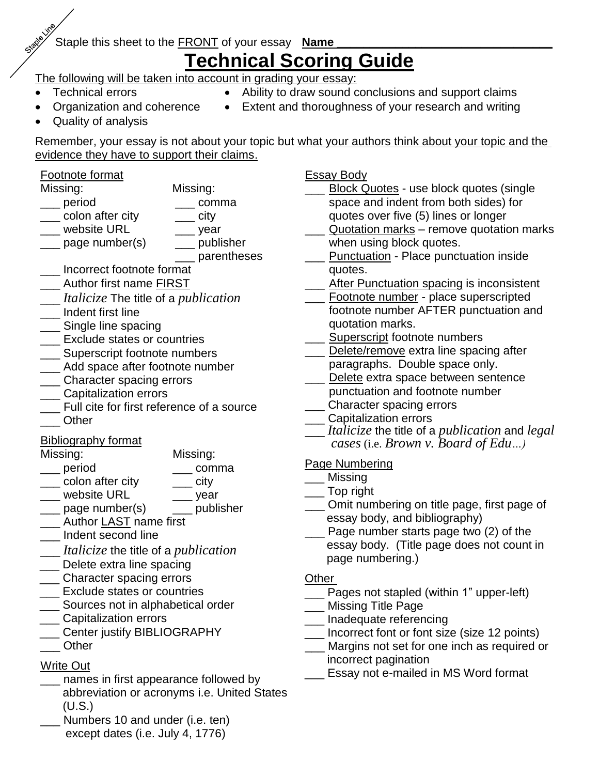# Staple this sheet to the **FRONT** of your essay **Name**

# **Technical Scoring Guide**

The following will be taken into account in grading your essay:

Technical errors

- Ability to draw sound conclusions and support claims
- Organization and coherence
- Extent and thoroughness of your research and writing
- Quality of analysis

Remember, your essay is not about your topic but what your authors think about your topic and the evidence they have to support their claims.

# Footnote format

Missing: Missing:

- \_\_\_ period \_\_\_ comma
- \_\_\_ colon after city  $\overline{\phantom{a}}$  city
- \_\_\_ website URL
- \_\_\_ page number(s) \_\_\_ year \_\_\_ publisher \_\_\_ parentheses
	- \_\_\_ Incorrect footnote format
- **Lace Author first name FIRST**
- \_\_\_ *Italicize* The title of a *publication*
- \_\_\_ Indent first line
- \_\_\_ Single line spacing
- **LEXClude states or countries**
- \_\_\_ Superscript footnote numbers
- Add space after footnote number
- \_\_\_ Character spacing errors
- \_\_\_ Capitalization errors
- \_\_\_ Full cite for first reference of a source
- \_\_\_ Other

# Bibliography format

Missing: Missing:

- \_\_\_ period \_\_\_ comma
- \_\_\_ colon after city  $\sim$  city
- \_\_\_ website URL \_\_\_ year
- \_\_\_ page number(s) \_\_\_ publisher
- \_\_\_ Author LAST name first
- \_\_\_ Indent second line
- \_\_\_ *Italicize* the title of a *publication*
- \_\_\_ Delete extra line spacing
- \_\_\_ Character spacing errors
- \_\_\_ Exclude states or countries
- Sources not in alphabetical order
- \_\_\_ Capitalization errors
- \_\_\_ Center justify BIBLIOGRAPHY
- \_\_\_ Other

# Write Out

- names in first appearance followed by abbreviation or acronyms i.e. United States (U.S.)
- Numbers 10 and under (i.e. ten) except dates (i.e. July 4, 1776)

Essay Body

- Block Quotes use block quotes (single space and indent from both sides) for quotes over five (5) lines or longer
- Quotation marks remove quotation marks when using block quotes.
- Punctuation Place punctuation inside quotes.
- After Punctuation spacing is inconsistent
- Footnote number place superscripted footnote number AFTER punctuation and quotation marks.
- **Superscript footnote numbers**
- Delete/remove extra line spacing after
- paragraphs. Double space only.
- Delete extra space between sentence punctuation and footnote number
- \_\_\_ Character spacing errors
- \_\_\_ Capitalization errors
- \_\_\_ *Italicize* the title of a *publication* and *legal cases* (i.e. *Brown v. Board of Edu…)*

# Page Numbering

- \_\_\_ Missing
- \_\_\_ Top right
- \_\_\_ Omit numbering on title page, first page of essay body, and bibliography)
- Page number starts page two (2) of the essay body. (Title page does not count in page numbering.)

# **Other**

- \_\_\_ Pages not stapled (within 1" upper-left)
- \_\_\_ Missing Title Page
- \_\_\_ Inadequate referencing
- \_\_\_ Incorrect font or font size (size 12 points)
- Margins not set for one inch as required or incorrect pagination
- Essay not e-mailed in MS Word format